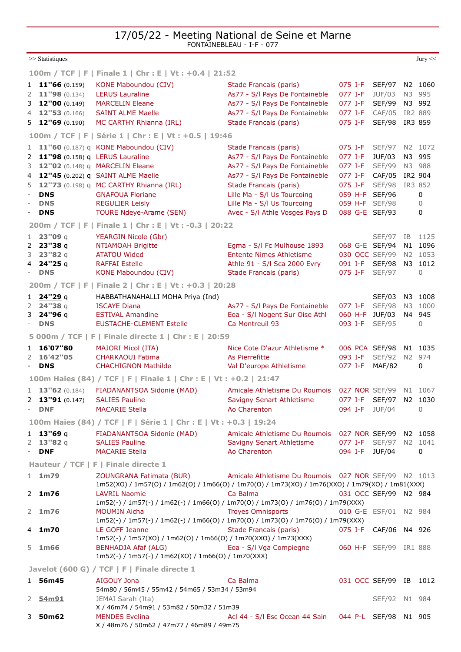17/05/22 - Meeting National de Seine et Marne FONTAINEBLEAU - I-F - 077

>>[Statistiques](javascript:mainPopupParameters() [Jury](javascript:mainPopupParameters() << Jury << Jury << Jury << Jury << Jury << Jury << Jury << Jury << Jury << Jury << Jury << Jury << Jury << Jury << Jury << Jury << Jury << Jury << Jury << Jury << Jury << Jury << Jury << Jury << Jury << **[100m / TCF](https://bases.athle.fr/asp.net/liste.aspx?frmbase=records&frmmode=2&frmespace=0&frmcompetition=264278&frmepreuve=110&frmsexe=F&frmserie=%20%20Finale%20%201) | F | Finale 1 | Chr : E | Vt : +0.4 | 21:52** 1 **11''66** (0.159) [KONE Maboundou \(CIV\)](javascript:bddThrowAthlete() [Stade Francais \(paris\)](https://bases.athle.fr/asp.net/liste.aspx?frmbase=resultats&frmmode=1&pardisplay=1&frmespace=0&frmcompetition=264278&frmclub=075029) [075](https://bases.athle.fr/asp.net/liste.aspx?frmbase=resultats&frmmode=1&frmespace=0&frmcompetition=264278&FrmDepartement=075) [I-F](https://bases.athle.fr/asp.net/liste.aspx?frmbase=resultats&frmmode=1&frmespace=0&frmcompetition=264278&FrmLigue=I-F) SEF/97 N2 1060 2 **11''98** (0.134) [LERUS Lauraline](javascript:bddThrowAthlete() [As77 - S/l Pays De Fontaineble](https://bases.athle.fr/asp.net/liste.aspx?frmbase=resultats&frmmode=1&pardisplay=1&frmespace=0&frmcompetition=264278&frmclub=077111) [077](https://bases.athle.fr/asp.net/liste.aspx?frmbase=resultats&frmmode=1&frmespace=0&frmcompetition=264278&FrmDepartement=077) [I-F](https://bases.athle.fr/asp.net/liste.aspx?frmbase=resultats&frmmode=1&frmespace=0&frmcompetition=264278&FrmLigue=I-F) JUF/03 N3 995 3 **12"00** (0.149) [MARCELIN Eleane](javascript:bddThrowAthlete() [As77 - S/l Pays De Fontaineble](https://bases.athle.fr/asp.net/liste.aspx?frmbase=resultats&frmmode=1&pardisplay=1&frmespace=0&frmcompetition=264278&frmclub=077111) [077](https://bases.athle.fr/asp.net/liste.aspx?frmbase=resultats&frmmode=1&frmespace=0&frmcompetition=264278&FrmDepartement=077) [I-F](https://bases.athle.fr/asp.net/liste.aspx?frmbase=resultats&frmmode=1&frmespace=0&frmcompetition=264278&FrmLigue=I-F) SEF/99 N3 992 4 **12''53** (0.166) [SAINT ALME Maelle](javascript:bddThrowAthlete() [As77 - S/l Pays De Fontaineble](https://bases.athle.fr/asp.net/liste.aspx?frmbase=resultats&frmmode=1&pardisplay=1&frmespace=0&frmcompetition=264278&frmclub=077111) [077](https://bases.athle.fr/asp.net/liste.aspx?frmbase=resultats&frmmode=1&frmespace=0&frmcompetition=264278&FrmDepartement=077) [I-F](https://bases.athle.fr/asp.net/liste.aspx?frmbase=resultats&frmmode=1&frmespace=0&frmcompetition=264278&FrmLigue=I-F) CAF/05 IR2 889 5 **12''69** (0.190) [MC CARTHY Rhianna \(IRL\)](javascript:bddThrowAthlete() [Stade Francais \(paris\)](https://bases.athle.fr/asp.net/liste.aspx?frmbase=resultats&frmmode=1&pardisplay=1&frmespace=0&frmcompetition=264278&frmclub=075029) [075](https://bases.athle.fr/asp.net/liste.aspx?frmbase=resultats&frmmode=1&frmespace=0&frmcompetition=264278&FrmDepartement=075) [I-F](https://bases.athle.fr/asp.net/liste.aspx?frmbase=resultats&frmmode=1&frmespace=0&frmcompetition=264278&FrmLigue=I-F) SEF/98 IR3 859 **[100m / TCF](https://bases.athle.fr/asp.net/liste.aspx?frmbase=records&frmmode=2&frmespace=0&frmcompetition=264278&frmepreuve=110&frmsexe=F&frmserie=%20%20S%C3%A9rie%20%201) | F | Série 1 | Chr : E | Vt : +0.5 | 19:46** 1 **11''60** (0.187) q [KONE Maboundou \(CIV\)](javascript:bddThrowAthlete() [Stade Francais \(paris\)](https://bases.athle.fr/asp.net/liste.aspx?frmbase=resultats&frmmode=1&pardisplay=1&frmespace=0&frmcompetition=264278&frmclub=075029) [075](https://bases.athle.fr/asp.net/liste.aspx?frmbase=resultats&frmmode=1&frmespace=0&frmcompetition=264278&FrmDepartement=075) [I-F](https://bases.athle.fr/asp.net/liste.aspx?frmbase=resultats&frmmode=1&frmespace=0&frmcompetition=264278&FrmLigue=I-F) SEF/97 N2 1072 2 **11''98** (0.158) q [LERUS Lauraline](javascript:bddThrowAthlete() [As77 - S/l Pays De Fontaineble](https://bases.athle.fr/asp.net/liste.aspx?frmbase=resultats&frmmode=1&pardisplay=1&frmespace=0&frmcompetition=264278&frmclub=077111) [077](https://bases.athle.fr/asp.net/liste.aspx?frmbase=resultats&frmmode=1&frmespace=0&frmcompetition=264278&FrmDepartement=077) [I-F](https://bases.athle.fr/asp.net/liste.aspx?frmbase=resultats&frmmode=1&frmespace=0&frmcompetition=264278&FrmLigue=I-F) JUF/03 N3 995 3 **12''02** (0.148) a [MARCELIN Eleane](javascript:bddThrowAthlete() [As77 - S/l Pays De Fontaineble](https://bases.athle.fr/asp.net/liste.aspx?frmbase=resultats&frmmode=1&pardisplay=1&frmespace=0&frmcompetition=264278&frmclub=077111) [077](https://bases.athle.fr/asp.net/liste.aspx?frmbase=resultats&frmmode=1&frmespace=0&frmcompetition=264278&FrmDepartement=077) [I-F](https://bases.athle.fr/asp.net/liste.aspx?frmbase=resultats&frmmode=1&frmespace=0&frmcompetition=264278&FrmLigue=I-F) SEF/99 N3 988 4 **12''45** (0.202) q [SAINT ALME Maelle](javascript:bddThrowAthlete() [As77 - S/l Pays De Fontaineble](https://bases.athle.fr/asp.net/liste.aspx?frmbase=resultats&frmmode=1&pardisplay=1&frmespace=0&frmcompetition=264278&frmclub=077111) [077](https://bases.athle.fr/asp.net/liste.aspx?frmbase=resultats&frmmode=1&frmespace=0&frmcompetition=264278&FrmDepartement=077) [I-F](https://bases.athle.fr/asp.net/liste.aspx?frmbase=resultats&frmmode=1&frmespace=0&frmcompetition=264278&FrmLigue=I-F) CAF/05 IR2 904 5 **12''73** (0.198) q [MC CARTHY Rhianna \(IRL\)](javascript:bddThrowAthlete() [Stade Francais \(paris\)](https://bases.athle.fr/asp.net/liste.aspx?frmbase=resultats&frmmode=1&pardisplay=1&frmespace=0&frmcompetition=264278&frmclub=075029) [075](https://bases.athle.fr/asp.net/liste.aspx?frmbase=resultats&frmmode=1&frmespace=0&frmcompetition=264278&FrmDepartement=075) [I-F](https://bases.athle.fr/asp.net/liste.aspx?frmbase=resultats&frmmode=1&frmespace=0&frmcompetition=264278&FrmLigue=I-F) SEF/98 IR3 852 **DNS** [GNAFOUA Floriane](javascript:bddThrowAthlete() [Lille Ma - S/l Us Tourcoing](https://bases.athle.fr/asp.net/liste.aspx?frmbase=resultats&frmmode=1&pardisplay=1&frmespace=0&frmcompetition=264278&frmclub=059185) [059](https://bases.athle.fr/asp.net/liste.aspx?frmbase=resultats&frmmode=1&frmespace=0&frmcompetition=264278&FrmDepartement=059) [H-F](https://bases.athle.fr/asp.net/liste.aspx?frmbase=resultats&frmmode=1&frmespace=0&frmcompetition=264278&FrmLigue=H-F) SEF/96 0 **DNS** [REGULIER Leisly](javascript:bddThrowAthlete() **CONS** [Lille Ma - S/l Us Tourcoing](https://bases.athle.fr/asp.net/liste.aspx?frmbase=resultats&frmmode=1&pardisplay=1&frmespace=0&frmcompetition=264278&frmclub=059185) [059](https://bases.athle.fr/asp.net/liste.aspx?frmbase=resultats&frmmode=1&frmespace=0&frmcompetition=264278&FrmDepartement=059) [H-F](https://bases.athle.fr/asp.net/liste.aspx?frmbase=resultats&frmmode=1&frmespace=0&frmcompetition=264278&FrmLigue=H-F) SEF/98 0 **DNS** [TOURE Ndeye-Arame \(SEN\)](javascript:bddThrowAthlete() [Avec - S/l Athle Vosges Pays D](https://bases.athle.fr/asp.net/liste.aspx?frmbase=resultats&frmmode=1&pardisplay=1&frmespace=0&frmcompetition=264278&frmclub=088065) [088](https://bases.athle.fr/asp.net/liste.aspx?frmbase=resultats&frmmode=1&frmespace=0&frmcompetition=264278&FrmDepartement=088) [G-E](https://bases.athle.fr/asp.net/liste.aspx?frmbase=resultats&frmmode=1&frmespace=0&frmcompetition=264278&FrmLigue=G-E) SEF/93 0 **[200m / TCF](https://bases.athle.fr/asp.net/liste.aspx?frmbase=records&frmmode=2&frmespace=0&frmcompetition=264278&frmepreuve=120&frmsexe=F&frmserie=Finale%20%201) | F | Finale 1 | Chr : E | Vt : -0.3 | 20:22** 1 **23''09** q [YEARGIN Nicole \(Gbr\)](javascript:bddThrowAthlete() SEF/97 IB 1125 2 **23''38** q [NTIAMOAH Brigitte](javascript:bddThrowAthlete() [Egma - S/l Fc Mulhouse 1893](https://bases.athle.fr/asp.net/liste.aspx?frmbase=resultats&frmmode=1&pardisplay=1&frmespace=0&frmcompetition=264278&frmclub=068050) [068](https://bases.athle.fr/asp.net/liste.aspx?frmbase=resultats&frmmode=1&frmespace=0&frmcompetition=264278&FrmDepartement=068) [G-E](https://bases.athle.fr/asp.net/liste.aspx?frmbase=resultats&frmmode=1&frmespace=0&frmcompetition=264278&FrmLigue=G-E) SEF/94 N1 1096 3 **23''82** q [ATATOU Wided](javascript:bddThrowAthlete() [Entente Nimes Athletisme](https://bases.athle.fr/asp.net/liste.aspx?frmbase=resultats&frmmode=1&pardisplay=1&frmespace=0&frmcompetition=264278&frmclub=030008) [030](https://bases.athle.fr/asp.net/liste.aspx?frmbase=resultats&frmmode=1&frmespace=0&frmcompetition=264278&FrmDepartement=030) [OCC](https://bases.athle.fr/asp.net/liste.aspx?frmbase=resultats&frmmode=1&frmespace=0&frmcompetition=264278&FrmLigue=OCC) SEF/99 N2 1053 4 **24''25** q [RAFFAI Estelle](javascript:bddThrowAthlete() [Athle 91 - S/l Sca 2000 Evry](https://bases.athle.fr/asp.net/liste.aspx?frmbase=resultats&frmmode=1&pardisplay=1&frmespace=0&frmcompetition=264278&frmclub=091013) [091](https://bases.athle.fr/asp.net/liste.aspx?frmbase=resultats&frmmode=1&frmespace=0&frmcompetition=264278&FrmDepartement=091) [I-F](https://bases.athle.fr/asp.net/liste.aspx?frmbase=resultats&frmmode=1&frmespace=0&frmcompetition=264278&FrmLigue=I-F) SEF/98 N3 1012 **DNS** [KONE Maboundou \(CIV\)](javascript:bddThrowAthlete() [Stade Francais \(paris\)](https://bases.athle.fr/asp.net/liste.aspx?frmbase=resultats&frmmode=1&pardisplay=1&frmespace=0&frmcompetition=264278&frmclub=075029) [075](https://bases.athle.fr/asp.net/liste.aspx?frmbase=resultats&frmmode=1&frmespace=0&frmcompetition=264278&FrmDepartement=075) [I-F](https://bases.athle.fr/asp.net/liste.aspx?frmbase=resultats&frmmode=1&frmespace=0&frmcompetition=264278&FrmLigue=I-F) SEF/97 0 **[200m / TCF](https://bases.athle.fr/asp.net/liste.aspx?frmbase=records&frmmode=2&frmespace=0&frmcompetition=264278&frmepreuve=120&frmsexe=F&frmserie=Finale%20%202) | F | Finale 2 | Chr : E | Vt : +0.3 | 20:28** 1 **24''29** q HABBATHANAHALLI MOHA Priya (Ind) SEF/03 N3 1008 2 **24"38** q [ISCAYE Diana](javascript:bddThrowAthlete() **[As77 - S/l Pays De Fontaineble](https://bases.athle.fr/asp.net/liste.aspx?frmbase=resultats&frmmode=1&pardisplay=1&frmespace=0&frmcompetition=264278&frmclub=077111) [077](https://bases.athle.fr/asp.net/liste.aspx?frmbase=resultats&frmmode=1&frmespace=0&frmcompetition=264278&FrmDepartement=077) [I-F](https://bases.athle.fr/asp.net/liste.aspx?frmbase=resultats&frmmode=1&frmespace=0&frmcompetition=264278&FrmLigue=I-F)** SEF/98 N3 1000 3 **24''96** q [ESTIVAL Amandine](javascript:bddThrowAthlete() [Eoa - S/l Nogent Sur Oise Athl](https://bases.athle.fr/asp.net/liste.aspx?frmbase=resultats&frmmode=1&pardisplay=1&frmespace=0&frmcompetition=264278&frmclub=060052) [060](https://bases.athle.fr/asp.net/liste.aspx?frmbase=resultats&frmmode=1&frmespace=0&frmcompetition=264278&FrmDepartement=060) [H-F](https://bases.athle.fr/asp.net/liste.aspx?frmbase=resultats&frmmode=1&frmespace=0&frmcompetition=264278&FrmLigue=H-F) JUF/03 N4 945 **DNS** BUSTACHE-CLEMENT Estelle [Ca Montreuil 93](https://bases.athle.fr/asp.net/liste.aspx?frmbase=resultats&frmmode=1&pardisplay=1&frmespace=0&frmcompetition=264278&frmclub=093007) Ca [093](https://bases.athle.fr/asp.net/liste.aspx?frmbase=resultats&frmmode=1&frmespace=0&frmcompetition=264278&FrmDepartement=093) [I-F](https://bases.athle.fr/asp.net/liste.aspx?frmbase=resultats&frmmode=1&frmespace=0&frmcompetition=264278&FrmLigue=I-F) SEF/95 0 **[5 000m / TCF](https://bases.athle.fr/asp.net/liste.aspx?frmbase=records&frmmode=2&frmespace=0&frmcompetition=264278&frmepreuve=250&frmsexe=F&frmserie=%20%20Finale%20%20directe%201) | F | Finale directe 1 | Chr : E | 20:59** 1 **16'07''80** [MAJORI Micol \(ITA\)](javascript:bddThrowAthlete() [Nice Cote D'azur Athletisme \\*](https://bases.athle.fr/asp.net/liste.aspx?frmbase=resultats&frmmode=1&pardisplay=1&frmespace=0&frmcompetition=264278&frmclub=006013) [006](https://bases.athle.fr/asp.net/liste.aspx?frmbase=resultats&frmmode=1&frmespace=0&frmcompetition=264278&FrmDepartement=006) [PCA](https://bases.athle.fr/asp.net/liste.aspx?frmbase=resultats&frmmode=1&frmespace=0&frmcompetition=264278&FrmLigue=PCA) SEF/98 N1 1035 2 **16'42''05** [CHARKAOUI Fatima](javascript:bddThrowAthlete() [As Pierrefitte](https://bases.athle.fr/asp.net/liste.aspx?frmbase=resultats&frmmode=1&pardisplay=1&frmespace=0&frmcompetition=264278&frmclub=093005) [093](https://bases.athle.fr/asp.net/liste.aspx?frmbase=resultats&frmmode=1&frmespace=0&frmcompetition=264278&FrmDepartement=093) [I-F](https://bases.athle.fr/asp.net/liste.aspx?frmbase=resultats&frmmode=1&frmespace=0&frmcompetition=264278&FrmLigue=I-F) SEF/92 N2 974 **DNS** [CHACHIGNON Mathilde](javascript:bddThrowAthlete() [Val D'europe Athletisme](https://bases.athle.fr/asp.net/liste.aspx?frmbase=resultats&frmmode=1&pardisplay=1&frmespace=0&frmcompetition=264278&frmclub=077132) [077](https://bases.athle.fr/asp.net/liste.aspx?frmbase=resultats&frmmode=1&frmespace=0&frmcompetition=264278&FrmDepartement=077) [I-F](https://bases.athle.fr/asp.net/liste.aspx?frmbase=resultats&frmmode=1&frmespace=0&frmcompetition=264278&FrmLigue=I-F) MAF/82 0 **[100m Haies \(84\) / TCF](https://bases.athle.fr/asp.net/liste.aspx?frmbase=records&frmmode=2&frmespace=0&frmcompetition=264278&frmepreuve=310&frmsexe=F&frmserie=%20%20Finale%20%201) | F | Finale 1 | Chr : E | Vt : +0.2 | 21:47** 1 **13''62** (0.184) [FIADANANTSOA Sidonie \(MAD\)](javascript:bddThrowAthlete() [Amicale Athletisme Du Roumois](https://bases.athle.fr/asp.net/liste.aspx?frmbase=resultats&frmmode=1&pardisplay=1&frmespace=0&frmcompetition=264278&frmclub=027043) [027](https://bases.athle.fr/asp.net/liste.aspx?frmbase=resultats&frmmode=1&frmespace=0&frmcompetition=264278&FrmDepartement=027) [NOR](https://bases.athle.fr/asp.net/liste.aspx?frmbase=resultats&frmmode=1&frmespace=0&frmcompetition=264278&FrmLigue=NOR) SEF/99 N1 1067 2 **13"91** (0.147) [SALIES Pauline](javascript:bddThrowAthlete() [Savigny Senart Athletisme](https://bases.athle.fr/asp.net/liste.aspx?frmbase=resultats&frmmode=1&pardisplay=1&frmespace=0&frmcompetition=264278&frmclub=077142) [077](https://bases.athle.fr/asp.net/liste.aspx?frmbase=resultats&frmmode=1&frmespace=0&frmcompetition=264278&FrmDepartement=077) [I-F](https://bases.athle.fr/asp.net/liste.aspx?frmbase=resultats&frmmode=1&frmespace=0&frmcompetition=264278&FrmLigue=I-F) SEF/97 N2 1030 **DNF** [MACARIE Stella](javascript:bddThrowAthlete() [Ao Charenton](https://bases.athle.fr/asp.net/liste.aspx?frmbase=resultats&frmmode=1&pardisplay=1&frmespace=0&frmcompetition=264278&frmclub=094004) [094](https://bases.athle.fr/asp.net/liste.aspx?frmbase=resultats&frmmode=1&frmespace=0&frmcompetition=264278&FrmDepartement=094) [I-F](https://bases.athle.fr/asp.net/liste.aspx?frmbase=resultats&frmmode=1&frmespace=0&frmcompetition=264278&FrmLigue=I-F) JUF/04 0 **[100m Haies \(84\) / TCF](https://bases.athle.fr/asp.net/liste.aspx?frmbase=records&frmmode=2&frmespace=0&frmcompetition=264278&frmepreuve=310&frmsexe=F&frmserie=%20%20S%C3%A9rie%20%201) | F | Série 1 | Chr : E | Vt : +0.3 | 19:24** 1 **13''69** q [FIADANANTSOA Sidonie \(MAD\)](javascript:bddThrowAthlete() [Amicale Athletisme Du Roumois](https://bases.athle.fr/asp.net/liste.aspx?frmbase=resultats&frmmode=1&pardisplay=1&frmespace=0&frmcompetition=264278&frmclub=027043) [027](https://bases.athle.fr/asp.net/liste.aspx?frmbase=resultats&frmmode=1&frmespace=0&frmcompetition=264278&FrmDepartement=027) [NOR](https://bases.athle.fr/asp.net/liste.aspx?frmbase=resultats&frmmode=1&frmespace=0&frmcompetition=264278&FrmLigue=NOR) SEF/99 N2 1058 2 **13"82** q [SALIES Pauline](javascript:bddThrowAthlete() [Savigny Senart Athletisme](https://bases.athle.fr/asp.net/liste.aspx?frmbase=resultats&frmmode=1&pardisplay=1&frmespace=0&frmcompetition=264278&frmclub=077142) [077](https://bases.athle.fr/asp.net/liste.aspx?frmbase=resultats&frmmode=1&frmespace=0&frmcompetition=264278&FrmDepartement=077) [I-F](https://bases.athle.fr/asp.net/liste.aspx?frmbase=resultats&frmmode=1&frmespace=0&frmcompetition=264278&FrmLigue=I-F) SEF/97 N2 1041 **DNF** [MACARIE Stella](javascript:bddThrowAthlete() [Ao Charenton](https://bases.athle.fr/asp.net/liste.aspx?frmbase=resultats&frmmode=1&pardisplay=1&frmespace=0&frmcompetition=264278&frmclub=094004) [094](https://bases.athle.fr/asp.net/liste.aspx?frmbase=resultats&frmmode=1&frmespace=0&frmcompetition=264278&FrmDepartement=094) [I-F](https://bases.athle.fr/asp.net/liste.aspx?frmbase=resultats&frmmode=1&frmespace=0&frmcompetition=264278&FrmLigue=I-F) JUF/04 0 **[Hauteur / TCF](https://bases.athle.fr/asp.net/liste.aspx?frmbase=records&frmmode=2&frmespace=0&frmcompetition=264278&frmepreuve=501&frmsexe=F&frmserie=%20%20Finale%20%20directe%201) | F | Finale directe 1** 1 **1m79** [ZOUNGRANA Fatimata \(BUR\)](javascript:bddThrowAthlete() [Amicale Athletisme Du Roumois](https://bases.athle.fr/asp.net/liste.aspx?frmbase=resultats&frmmode=1&pardisplay=1&frmespace=0&frmcompetition=264278&frmclub=027043) [027](https://bases.athle.fr/asp.net/liste.aspx?frmbase=resultats&frmmode=1&frmespace=0&frmcompetition=264278&FrmDepartement=027) [NOR](https://bases.athle.fr/asp.net/liste.aspx?frmbase=resultats&frmmode=1&frmespace=0&frmcompetition=264278&FrmLigue=NOR) SEF/99 N2 1013 1m52(XO) / 1m57(O) / 1m62(O) / 1m66(O) / 1m70(O) / 1m73(XO) / 1m76(XXO) / 1m79(XO) / 1m81(XXX) 2 **1m76** [LAVRIL Naomie](javascript:bddThrowAthlete() [Ca Balma](https://bases.athle.fr/asp.net/liste.aspx?frmbase=resultats&frmmode=1&pardisplay=1&frmespace=0&frmcompetition=264278&frmclub=031004) [031](https://bases.athle.fr/asp.net/liste.aspx?frmbase=resultats&frmmode=1&frmespace=0&frmcompetition=264278&FrmDepartement=031) [OCC](https://bases.athle.fr/asp.net/liste.aspx?frmbase=resultats&frmmode=1&frmespace=0&frmcompetition=264278&FrmLigue=OCC) SEF/99 N2 984 1m52(-) / 1m57(-) / 1m62(-) / 1m66(O) / 1m70(O) / 1m73(O) / 1m76(O) / 1m79(XXX) 2 **1m76** [MOUMIN Aicha](javascript:bddThrowAthlete() [Troyes Omnisports](https://bases.athle.fr/asp.net/liste.aspx?frmbase=resultats&frmmode=1&pardisplay=1&frmespace=0&frmcompetition=264278&frmclub=010010) [010](https://bases.athle.fr/asp.net/liste.aspx?frmbase=resultats&frmmode=1&frmespace=0&frmcompetition=264278&FrmDepartement=010) [G-E](https://bases.athle.fr/asp.net/liste.aspx?frmbase=resultats&frmmode=1&frmespace=0&frmcompetition=264278&FrmLigue=G-E) ESF/01 N2 984 1m52(-) / 1m57(-) / 1m62(-) / 1m66(O) / 1m70(O) / 1m73(O) / 1m76(O) / 1m79(XXX) 4 **1m70** [LE GOFF Jeanne](javascript:bddThrowAthlete() [Stade Francais \(paris\)](https://bases.athle.fr/asp.net/liste.aspx?frmbase=resultats&frmmode=1&pardisplay=1&frmespace=0&frmcompetition=264278&frmclub=075029) [075](https://bases.athle.fr/asp.net/liste.aspx?frmbase=resultats&frmmode=1&frmespace=0&frmcompetition=264278&FrmDepartement=075) [I-F](https://bases.athle.fr/asp.net/liste.aspx?frmbase=resultats&frmmode=1&frmespace=0&frmcompetition=264278&FrmLigue=I-F) CAF/06 N4 926 1m52(-) / 1m57(XO) / 1m62(O) / 1m66(O) / 1m70(XXO) / 1m73(XXX) 5 **1m66** [BENHADJA Afaf \(ALG\)](javascript:bddThrowAthlete() [Eoa - S/l Vga Compiegne](https://bases.athle.fr/asp.net/liste.aspx?frmbase=resultats&frmmode=1&pardisplay=1&frmespace=0&frmcompetition=264278&frmclub=060052) [060](https://bases.athle.fr/asp.net/liste.aspx?frmbase=resultats&frmmode=1&frmespace=0&frmcompetition=264278&FrmDepartement=060) [H-F](https://bases.athle.fr/asp.net/liste.aspx?frmbase=resultats&frmmode=1&frmespace=0&frmcompetition=264278&FrmLigue=H-F) SEF/99 IR1 888 1m52(-) / 1m57(-) / 1m62(XO) / 1m66(O) / 1m70(XXX) **[Javelot \(600 G\) / TCF](https://bases.athle.fr/asp.net/liste.aspx?frmbase=records&frmmode=2&frmespace=0&frmcompetition=264278&frmepreuve=660&frmsexe=F&frmserie=%20%20Finale%20%20directe%201) | F | Finale directe 1** 1 **56m45** [AIGOUY Jona](javascript:bddThrowAthlete() [Ca Balma](https://bases.athle.fr/asp.net/liste.aspx?frmbase=resultats&frmmode=1&pardisplay=1&frmespace=0&frmcompetition=264278&frmclub=031004) [031](https://bases.athle.fr/asp.net/liste.aspx?frmbase=resultats&frmmode=1&frmespace=0&frmcompetition=264278&FrmDepartement=031) [OCC](https://bases.athle.fr/asp.net/liste.aspx?frmbase=resultats&frmmode=1&frmespace=0&frmcompetition=264278&FrmLigue=OCC) SEF/99 IB 1012 54m80 / 56m45 / 55m42 / 54m65 / 53m34 / 53m94 2 **54m91** JEMAI Sarah (Ita) SEF/92 N1 984 X / 46m74 / 54m91 / 53m82 / 50m32 / 51m39 3 **50m62** [MENDES Evelina](javascript:bddThrowAthlete() [Acl 44 - S/l Esc Ocean 44 Sain](https://bases.athle.fr/asp.net/liste.aspx?frmbase=resultats&frmmode=1&pardisplay=1&frmespace=0&frmcompetition=264278&frmclub=044126) [044](https://bases.athle.fr/asp.net/liste.aspx?frmbase=resultats&frmmode=1&frmespace=0&frmcompetition=264278&FrmDepartement=044) [P-L](https://bases.athle.fr/asp.net/liste.aspx?frmbase=resultats&frmmode=1&frmespace=0&frmcompetition=264278&FrmLigue=P-L) SEF/98 N1 905

X / 48m76 / 50m62 / 47m77 / 46m89 / 49m75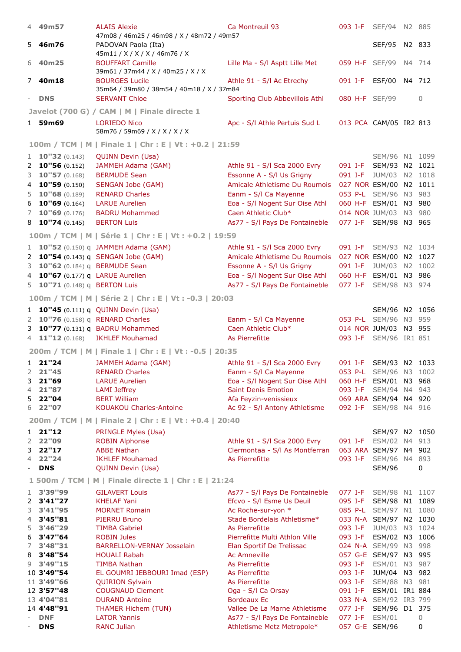|                          | 4 49m57                          | <b>ALAIS Alexie</b>                                                | Ca Montreuil 93                                              |                    |         | 093 I-F SEF/94 N2 885           |    |               |
|--------------------------|----------------------------------|--------------------------------------------------------------------|--------------------------------------------------------------|--------------------|---------|---------------------------------|----|---------------|
|                          |                                  | 47m08 / 46m25 / 46m98 / X / 48m72 / 49m57                          |                                                              |                    |         |                                 |    |               |
|                          | 5 46m76                          | PADOVAN Paola (Ita)                                                |                                                              |                    |         | <b>SEF/95</b>                   |    | N2 833        |
|                          | 6 40m25                          | 45m11 / X / X / X / 46m76 / X<br><b>BOUFFART Camille</b>           | Lille Ma - S/I Asptt Lille Met                               |                    |         | 059 H-F SEF/99                  |    | N4 714        |
|                          |                                  | 39m61 / 37m44 / X / 40m25 / X / X                                  |                                                              |                    |         |                                 |    |               |
|                          | 7 40m18                          | <b>BOURGES Lucile</b><br>35m64 / 39m80 / 38m54 / 40m18 / X / 37m84 | Athle 91 - S/I Ac Etrechy                                    | 091 I-F            |         | ESF/00                          |    | N4 712        |
| $\overline{\phantom{0}}$ | <b>DNS</b>                       | <b>SERVANT Chloe</b>                                               | Sporting Club Abbevillois Athl                               |                    |         | 080 H-F SEF/99                  |    | $\mathbf{0}$  |
|                          |                                  | Javelot (700 G) / CAM   M   Finale directe 1                       |                                                              |                    |         |                                 |    |               |
|                          | 1 59m69                          | <b>LORIEDO Nico</b><br>58m76 / 59m69 / X / X / X / X               | Apc - S/I Athle Pertuis Sud L                                |                    |         | 013 PCA CAM/05 IR2 813          |    |               |
|                          |                                  | 100m / TCM   M   Finale 1   Chr : E   Vt : +0.2   21:59            |                                                              |                    |         |                                 |    |               |
|                          | 1 <b>10"32</b> $(0.143)$         | <b>QUINN Devin (Usa)</b>                                           |                                                              |                    |         | SEM/96 N1 1099                  |    |               |
|                          | 2 <b>10"56</b> (0.152)           | JAMMEH Adama (GAM)                                                 | Athle 91 - S/I Sca 2000 Evry                                 |                    |         | 091 I-F SEM/93 N2 1021          |    |               |
| 3                        | 10"57(0.168)                     | <b>BERMUDE Sean</b>                                                | Essonne A - S/I Us Grigny                                    |                    |         | 091 I-F JUM/03 N2 1018          |    |               |
| 4                        | 10"59(0.150)                     | <b>SENGAN Jobe (GAM)</b>                                           | Amicale Athletisme Du Roumois                                |                    |         | 027 NOR ESM/00 N2 1011          |    |               |
| 5                        | 10"68(0.189)                     | <b>RENARD Charles</b>                                              | Eanm - S/I Ca Mayenne                                        |                    |         | 053 P-L SEM/96 N3 983           |    |               |
| 6                        | 10"69(0.164)                     | <b>LARUE Aurelien</b>                                              | Eoa - S/I Nogent Sur Oise Athl                               |                    |         | 060 H-F ESM/01 N3 980           |    |               |
| 7                        | 10"69(0.176)                     | <b>BADRU Mohammed</b>                                              | Caen Athletic Club*                                          |                    |         | 014 NOR JUM/03 N3 980           |    |               |
|                          | $8$ <b>10"74</b> (0.145)         | <b>BERTON Luis</b>                                                 | As77 - S/I Pays De Fontaineble                               |                    |         | 077 I-F SEM/98 N3 965           |    |               |
|                          |                                  | 100m / TCM   M   Série 1   Chr : E   Vt : +0.2   19:59             |                                                              |                    |         |                                 |    |               |
|                          |                                  | 1 <b>10"52</b> (0.150) q JAMMEH Adama (GAM)                        | Athle 91 - S/I Sca 2000 Evry                                 |                    |         | 091 I-F SEM/93 N2 1034          |    |               |
|                          |                                  | 2 10"54 (0.143) q SENGAN Jobe (GAM)                                | Amicale Athletisme Du Roumois                                |                    |         | 027 NOR ESM/00 N2 1027          |    |               |
| 3                        | 10"62 (0.184) q BERMUDE Sean     |                                                                    | Essonne A - S/I Us Grigny                                    | 091 I-F            |         | JUM/03                          |    | N2 1002       |
| 4                        | 10"67 (0.177) q LARUE Aurelien   |                                                                    | Eoa - S/I Nogent Sur Oise Athl                               |                    |         | 060 H-F ESM/01                  |    | N3 986        |
| 5                        | 10"71 (0.148) q BERTON Luis      |                                                                    | As77 - S/I Pays De Fontaineble                               |                    | 077 I-F | SEM/98 N3 974                   |    |               |
|                          |                                  | 100m / TCM   M   Série 2   Chr : E   Vt : -0.3   20:03             |                                                              |                    |         |                                 |    |               |
|                          |                                  |                                                                    |                                                              |                    |         |                                 |    |               |
|                          |                                  | 1 <b>10"45</b> (0.111) q QUINN Devin (Usa)                         |                                                              |                    |         | SEM/96 N2 1056                  |    |               |
|                          | 2 10"76 (0.158) q RENARD Charles |                                                                    | Eanm - S/I Ca Mayenne                                        |                    |         | 053 P-L SEM/96 N3 959           |    |               |
| 3                        |                                  | 10"77 (0.131) q BADRU Mohammed                                     | Caen Athletic Club*<br>As Pierrefitte                        |                    |         | 014 NOR JUM/03 N3 955           |    |               |
|                          |                                  | 4 11"12 (0.168) IKHLEF Mouhamad                                    |                                                              |                    |         | 093 I-F SEM/96 IR1 851          |    |               |
|                          |                                  | 200m / TCM   M   Finale 1   Chr : E   Vt : -0.5   20:35            |                                                              |                    |         |                                 |    |               |
|                          | $1$ 21"24                        | JAMMEH Adama (GAM)                                                 | Athle 91 - S/I Sca 2000 Evry                                 |                    |         | 091 I-F SEM/93 N2 1033          |    |               |
| 2                        | 21"45<br>21"69                   | <b>RENARD Charles</b><br><b>LARUE Aurelien</b>                     | Eanm - S/I Ca Mayenne                                        |                    |         | 053 P-L SEM/96 N3 1002          |    |               |
| 3<br>4                   | 21"87                            | <b>LAMI</b> Jeffrey                                                | Eoa - S/I Nogent Sur Oise Athl<br><b>Saint Denis Emotion</b> |                    | 093 I-F | 060 H-F ESM/01 N3<br>SEM/94     |    | 968<br>N4 943 |
| 5                        | 22"04                            | <b>BERT William</b>                                                | Afa Feyzin-venissieux                                        |                    |         | 069 ARA SEM/94 N4 920           |    |               |
| 6                        | 22"07                            | <b>KOUAKOU Charles-Antoine</b>                                     | Ac 92 - S/I Antony Athletisme                                |                    |         | 092 I-F SEM/98 N4 916           |    |               |
|                          |                                  | 200m / TCM   M   Finale 2   Chr : E   Vt : +0.4   20:40            |                                                              |                    |         |                                 |    |               |
| 1                        | 21"12                            | PRINGLE Myles (Usa)                                                |                                                              |                    |         | SEM/97 N2 1050                  |    |               |
| 2                        | 22"09                            | <b>ROBIN Alphonse</b>                                              | Athle 91 - S/I Sca 2000 Evry                                 |                    |         | 091 I-F ESM/02                  |    | N4 913        |
| 3                        | 22"17                            | <b>ABBE Nathan</b>                                                 | Clermontaa - S/I As Montferran                               |                    |         | 063 ARA SEM/97                  |    | N4 902        |
| 4                        | 22"24                            | <b>IKHLEF Mouhamad</b>                                             | As Pierrefitte                                               |                    | 093 I-F | <b>SEM/96</b>                   |    | N4 893        |
| $\overline{\phantom{0}}$ | <b>DNS</b>                       | <b>QUINN Devin (Usa)</b>                                           |                                                              |                    |         | <b>SEM/96</b>                   |    | 0             |
|                          |                                  | 1 500m / TCM   M   Finale directe 1   Chr : E   21:24              |                                                              |                    |         |                                 |    |               |
| 1                        | 3'39"99                          | <b>GILAVERT Louis</b>                                              | As77 - S/I Pays De Fontaineble                               |                    | 077 I-F | SEM/98 N1 1107                  |    |               |
| 2                        | 3'41"27                          | <b>KHELAF Yani</b>                                                 | Efcvo - S/I Esme Us Deuil                                    | 095 I-F            |         | <b>SEM/98</b>                   | N1 | 1089          |
| 3                        | 3'41"95                          | <b>MORNET Romain</b>                                               | Ac Roche-sur-yon *                                           |                    |         | 085 P-L SEM/97 N1               |    | 1080          |
| 4                        | 3'45"81                          | <b>PIERRU Bruno</b>                                                | Stade Bordelais Athletisme*                                  |                    |         | 033 N-A SEM/97 N2 1030          |    |               |
| 5                        | 3'46"29                          | <b>TIMBA Gabriel</b>                                               | As Pierrefitte                                               | 093 I-F            |         | JUM/03                          |    | N3 1024       |
| 6                        | 3'47"64                          | <b>ROBIN Jules</b>                                                 | Pierrefitte Multi Athlon Ville                               |                    | 093 I-F | ESM/02 N3 1006                  |    |               |
| 7                        | 3'48"31                          | <b>BARRELLON-VERNAY Josselain</b>                                  | Elan Sportif De Trelissac                                    |                    |         | 024 N-A SEM/99 N3 998           |    |               |
| 8                        | 3'48"54                          | <b>HOUALI Rabah</b>                                                | <b>Ac Amneville</b>                                          |                    |         | 057 G-E SEM/97 N3               |    | 995           |
| 9                        | 3'49"15                          | <b>TIMBA Nathan</b>                                                | As Pierrefitte                                               | 093 I-F            |         | ESM/01                          | N3 | 987           |
|                          | 10 3'49"54                       | EL GOUMRI JEBBOURI Imad (ESP)                                      | As Pierrefitte                                               | 093 I-F            |         | JUM/04                          |    | N3 982        |
|                          | 11 3'49"66<br>12 3'57"48         | <b>QUIRION Sylvain</b><br><b>COUGNAUD Clement</b>                  | As Pierrefitte<br>Oga - S/I Ca Orsay                         | 093 I-F<br>091 I-F |         | SEM/88 N3 981<br>ESM/01 IR1 884 |    |               |
|                          | 13 4'04"81                       | <b>DURAND Antoine</b>                                              | <b>Bordeaux Ec</b>                                           |                    |         | 033 N-A SEM/92 IR3 799          |    |               |
|                          | 14 4'48"91                       | <b>THAMER Hichem (TUN)</b>                                         | Vallee De La Marne Athletisme                                | 077 I-F            |         | SEM/96                          |    | D1 375        |
|                          | <b>DNF</b>                       | <b>LATOR Yannis</b>                                                | As77 - S/I Pays De Fontaineble                               | 077 I-F            |         | <b>ESM/01</b>                   |    | 0             |
|                          | <b>DNS</b>                       | <b>RANC Julian</b>                                                 | Athletisme Metz Metropole*                                   |                    |         | 057 G-E SEM/96                  |    | 0             |
|                          |                                  |                                                                    |                                                              |                    |         |                                 |    |               |